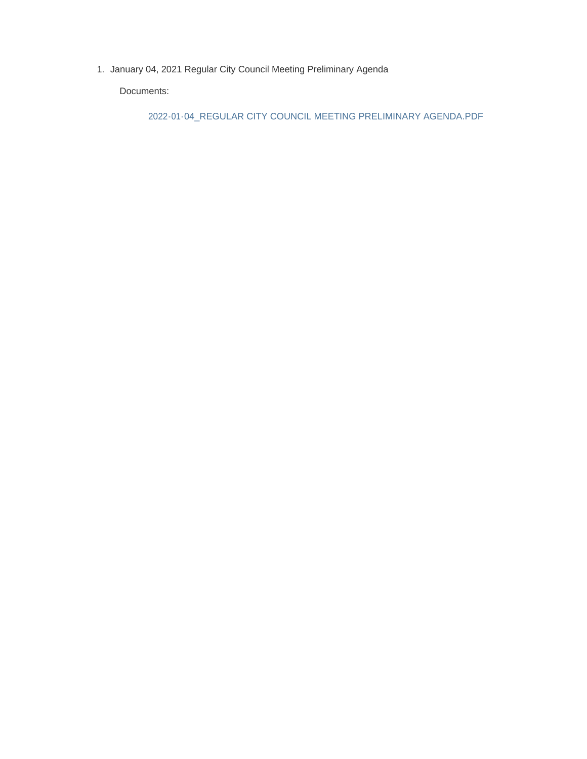1. January 04, 2021 Regular City Council Meeting Preliminary Agenda

Documents:

2022-01-04\_REGULAR CITY COUNCIL MEETING PRELIMINARY AGENDA.PDF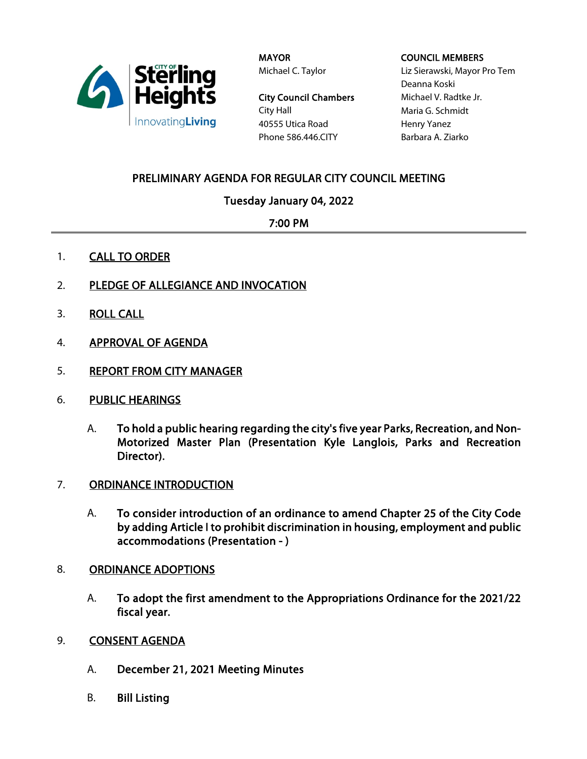

MAYOR Michael C. Taylor

City Council Chambers City Hall 40555 Utica Road Phone 586.446.CITY

#### COUNCIL MEMBERS

Liz Sierawski, Mayor Pro Tem Deanna Koski Michael V. Radtke Jr. Maria G. Schmidt Henry Yanez Barbara A. Ziarko

# PRELIMINARY AGENDA FOR REGULAR CITY COUNCIL MEETING

## Tuesday January 04, 2022

## 7:00 PM

- 1. CALL TO ORDER
- 2. PLEDGE OF ALLEGIANCE AND INVOCATION
- 3. ROLL CALL
- 4. APPROVAL OF AGENDA
- 5. REPORT FROM CITY MANAGER
- 6. PUBLIC HEARINGS
	- A. To hold a public hearing regarding the city's five year Parks, Recreation, and Non-Motorized Master Plan (Presentation Kyle Langlois, Parks and Recreation Director).
- 7. ORDINANCE INTRODUCTION
	- A. To consider introduction of an ordinance to amend Chapter 25 of the City Code by adding Article I to prohibit discrimination in housing, employment and public accommodations (Presentation - )
- 8. ORDINANCE ADOPTIONS
	- A. To adopt the first amendment to the Appropriations Ordinance for the 2021/22 fiscal year.
- 9. **CONSENT AGENDA** 
	- A. December 21, 2021 Meeting Minutes
	- B. Bill Listing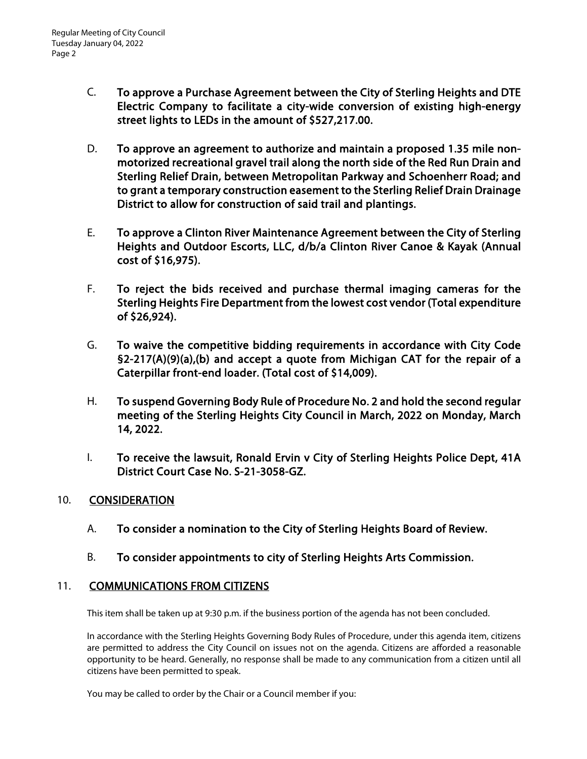- C. To approve a Purchase Agreement between the City of Sterling Heights and DTE Electric Company to facilitate a city-wide conversion of existing high-energy street lights to LEDs in the amount of \$527,217.00.
- D. To approve an agreement to authorize and maintain a proposed 1.35 mile nonmotorized recreational gravel trail along the north side of the Red Run Drain and Sterling Relief Drain, between Metropolitan Parkway and Schoenherr Road; and to grant a temporary construction easement to the Sterling Relief Drain Drainage District to allow for construction of said trail and plantings.
- E. To approve a Clinton River Maintenance Agreement between the City of Sterling Heights and Outdoor Escorts, LLC, d/b/a Clinton River Canoe & Kayak (Annual cost of \$16,975).
- F. To reject the bids received and purchase thermal imaging cameras for the Sterling Heights Fire Department from the lowest cost vendor (Total expenditure of \$26,924).
- G. To waive the competitive bidding requirements in accordance with City Code §2-217(A)(9)(a),(b) and accept a quote from Michigan CAT for the repair of a Caterpillar front-end loader. (Total cost of \$14,009).
- H. To suspend Governing Body Rule of Procedure No. 2 and hold the second regular meeting of the Sterling Heights City Council in March, 2022 on Monday, March 14, 2022.
- I. To receive the lawsuit, Ronald Ervin v City of Sterling Heights Police Dept, 41A District Court Case No. S-21-3058-GZ.

### 10. CONSIDERATION

- A. To consider a nomination to the City of Sterling Heights Board of Review.
- B. To consider appointments to city of Sterling Heights Arts Commission.

### 11. COMMUNICATIONS FROM CITIZENS

This item shall be taken up at 9:30 p.m. if the business portion of the agenda has not been concluded.

In accordance with the Sterling Heights Governing Body Rules of Procedure, under this agenda item, citizens are permitted to address the City Council on issues not on the agenda. Citizens are afforded a reasonable opportunity to be heard. Generally, no response shall be made to any communication from a citizen until all citizens have been permitted to speak.

You may be called to order by the Chair or a Council member if you: